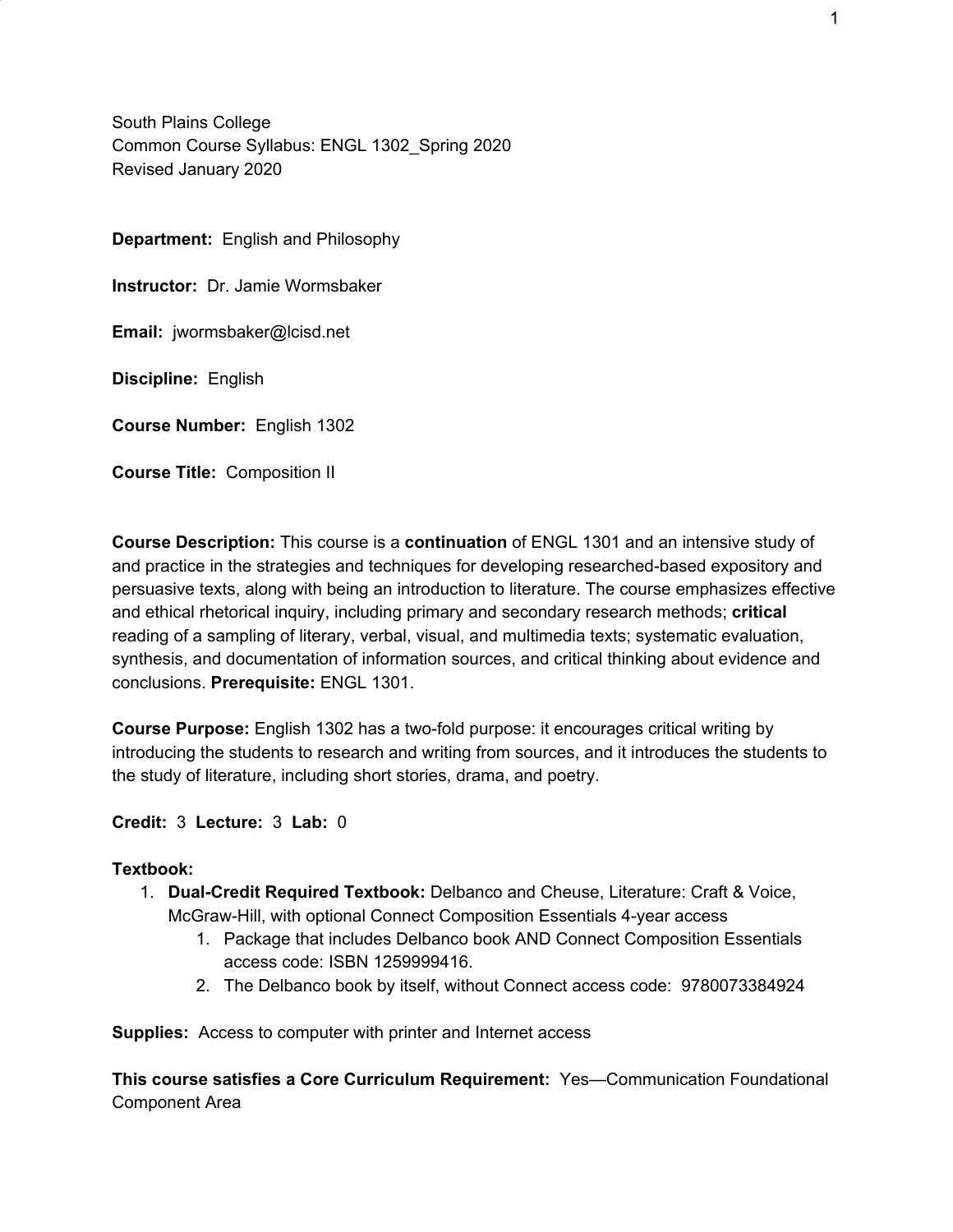South Plains College Common Course Syllabus: ENGL 1302\_Spring 2020 Revised January 2020

**Department:** English and Philosophy

**Instructor:** Dr. Jamie Wormsbaker

**Email:** jwormsbaker@lcisd.net

**Discipline:** English

**Course Number:** English 1302

**Course Title:** Composition II

**Course Description:** This course is a **continuation** of ENGL 1301 and an intensive study of and practice in the strategies and techniques for developing researched-based expository and persuasive texts, along with being an introduction to literature. The course emphasizes effective and ethical rhetorical inquiry, including primary and secondary research methods; **critical** reading of a sampling of literary, verbal, visual, and multimedia texts; systematic evaluation, synthesis, and documentation of information sources, and critical thinking about evidence and conclusions. **Prerequisite:** ENGL 1301.

**Course Purpose:** English 1302 has a two-fold purpose: it encourages critical writing by introducing the students to research and writing from sources, and it introduces the students to the study of literature, including short stories, drama, and poetry.

**Credit:** 3 **Lecture:** 3 **Lab:** 0

#### **Textbook:**

- 1. **Dual-Credit Required Textbook:** Delbanco and Cheuse, Literature: Craft & Voice, McGraw-Hill, with optional Connect Composition Essentials 4-year access
	- 1. Package that includes Delbanco book AND Connect Composition Essentials access code: ISBN 1259999416.
	- 2. The Delbanco book by itself, without Connect access code: 9780073384924

**Supplies:** Access to computer with printer and Internet access

**This course satisfies a Core Curriculum Requirement:** Yes—Communication Foundational Component Area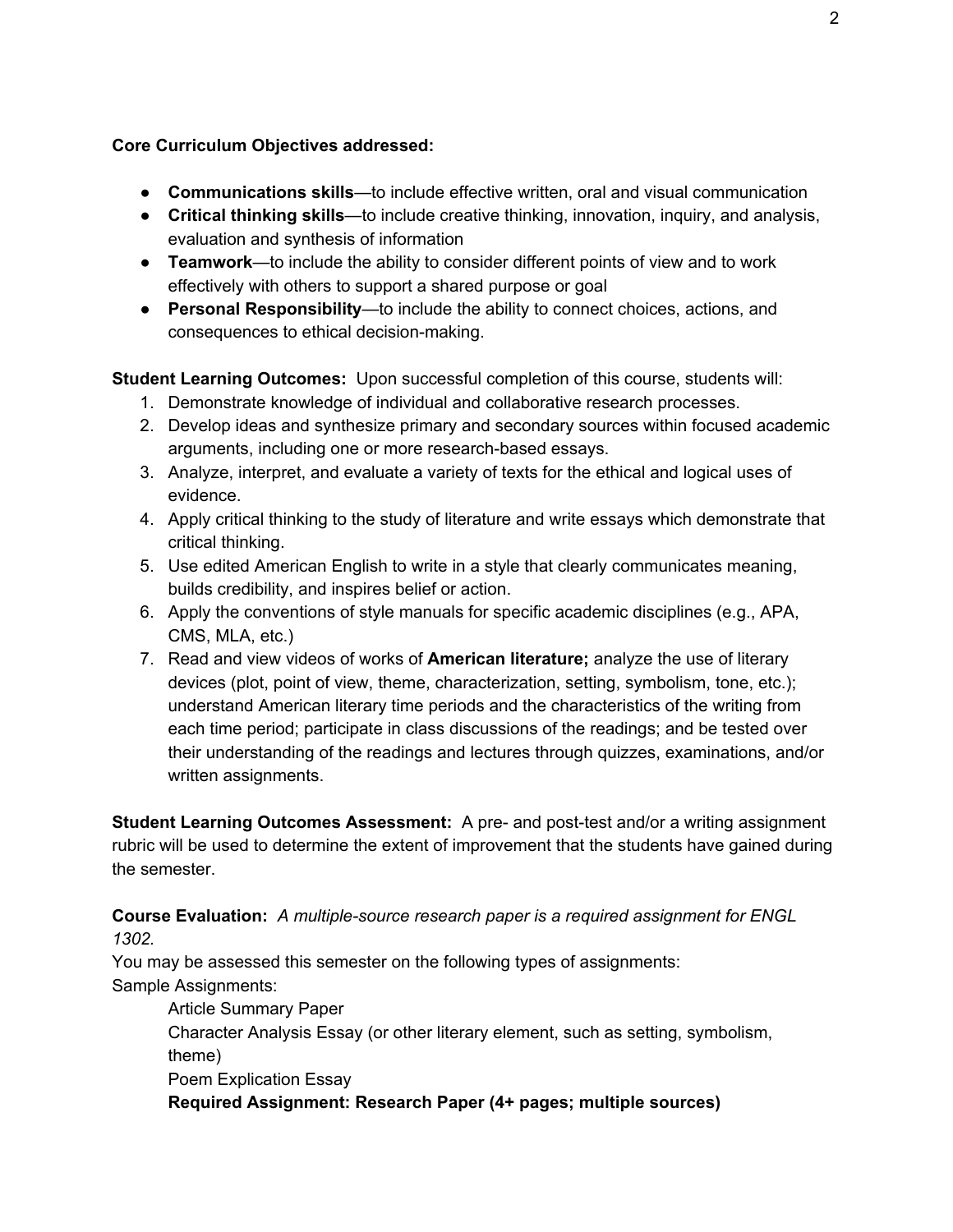#### **Core Curriculum Objectives addressed:**

- **Communications skills**—to include effective written, oral and visual communication
- **Critical thinking skills**—to include creative thinking, innovation, inquiry, and analysis, evaluation and synthesis of information
- **Teamwork**—to include the ability to consider different points of view and to work effectively with others to support a shared purpose or goal
- **Personal Responsibility**—to include the ability to connect choices, actions, and consequences to ethical decision-making.

**Student Learning Outcomes:** Upon successful completion of this course, students will:

- 1. Demonstrate knowledge of individual and collaborative research processes.
- 2. Develop ideas and synthesize primary and secondary sources within focused academic arguments, including one or more research-based essays.
- 3. Analyze, interpret, and evaluate a variety of texts for the ethical and logical uses of evidence.
- 4. Apply critical thinking to the study of literature and write essays which demonstrate that critical thinking.
- 5. Use edited American English to write in a style that clearly communicates meaning, builds credibility, and inspires belief or action.
- 6. Apply the conventions of style manuals for specific academic disciplines (e.g., APA, CMS, MLA, etc.)
- 7. Read and view videos of works of **American literature;** analyze the use of literary devices (plot, point of view, theme, characterization, setting, symbolism, tone, etc.); understand American literary time periods and the characteristics of the writing from each time period; participate in class discussions of the readings; and be tested over their understanding of the readings and lectures through quizzes, examinations, and/or written assignments.

**Student Learning Outcomes Assessment:** A pre- and post-test and/or a writing assignment rubric will be used to determine the extent of improvement that the students have gained during the semester.

**Course Evaluation:** *A multiple-source research paper is a required assignment for ENGL 1302.*

You may be assessed this semester on the following types of assignments: Sample Assignments:

Article Summary Paper Character Analysis Essay (or other literary element, such as setting, symbolism,

theme)

Poem Explication Essay

**Required Assignment: Research Paper (4+ pages; multiple sources)**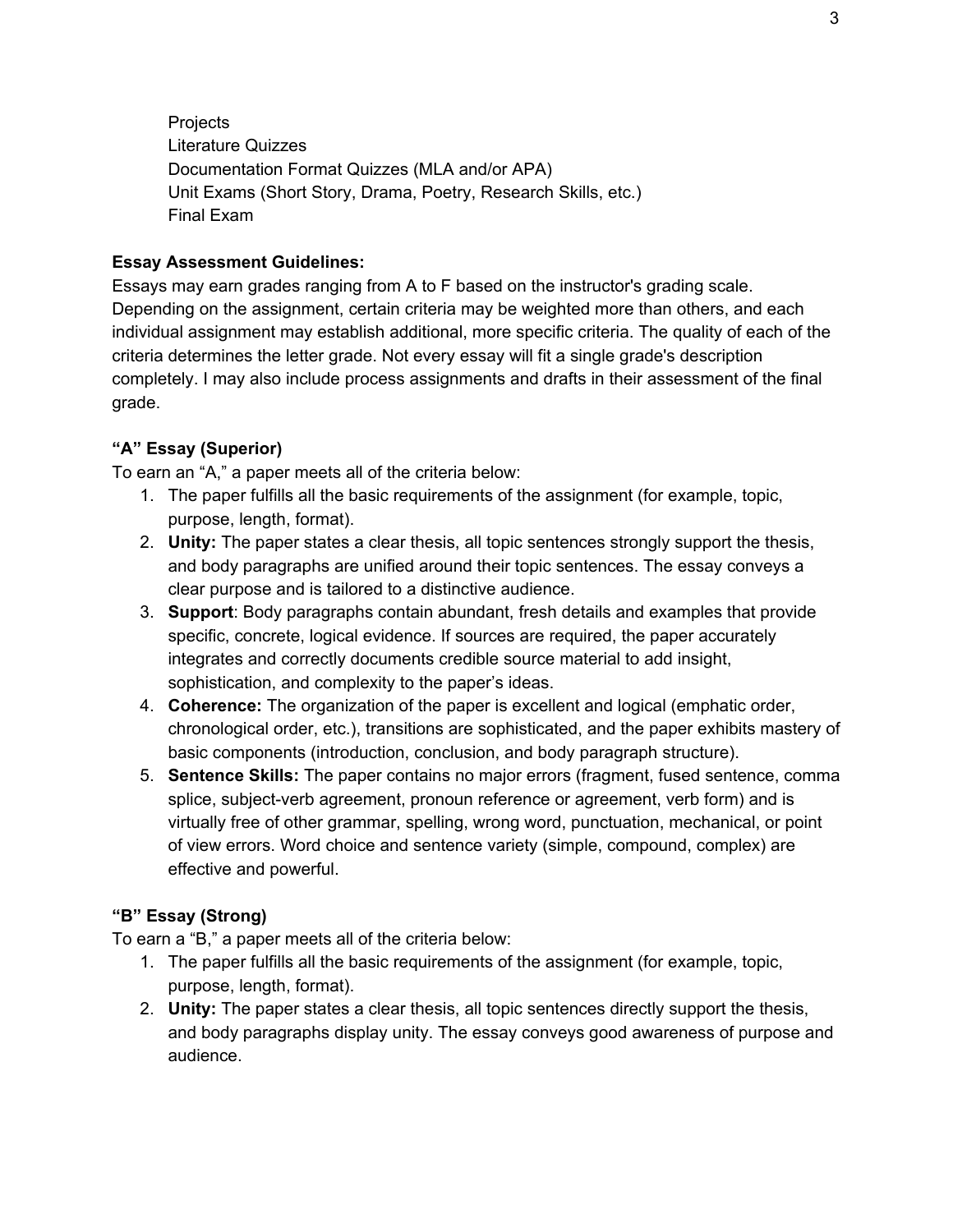Projects Literature Quizzes Documentation Format Quizzes (MLA and/or APA) Unit Exams (Short Story, Drama, Poetry, Research Skills, etc.) Final Exam

#### **Essay Assessment Guidelines:**

Essays may earn grades ranging from A to F based on the instructor's grading scale. Depending on the assignment, certain criteria may be weighted more than others, and each individual assignment may establish additional, more specific criteria. The quality of each of the criteria determines the letter grade. Not every essay will fit a single grade's description completely. I may also include process assignments and drafts in their assessment of the final grade.

#### **"A" Essay (Superior)**

To earn an "A," a paper meets all of the criteria below:

- 1. The paper fulfills all the basic requirements of the assignment (for example, topic, purpose, length, format).
- 2. **Unity:** The paper states a clear thesis, all topic sentences strongly support the thesis, and body paragraphs are unified around their topic sentences. The essay conveys a clear purpose and is tailored to a distinctive audience.
- 3. **Support**: Body paragraphs contain abundant, fresh details and examples that provide specific, concrete, logical evidence. If sources are required, the paper accurately integrates and correctly documents credible source material to add insight, sophistication, and complexity to the paper's ideas.
- 4. **Coherence:** The organization of the paper is excellent and logical (emphatic order, chronological order, etc.), transitions are sophisticated, and the paper exhibits mastery of basic components (introduction, conclusion, and body paragraph structure).
- 5. **Sentence Skills:** The paper contains no major errors (fragment, fused sentence, comma splice, subject-verb agreement, pronoun reference or agreement, verb form) and is virtually free of other grammar, spelling, wrong word, punctuation, mechanical, or point of view errors. Word choice and sentence variety (simple, compound, complex) are effective and powerful.

## **"B" Essay (Strong)**

To earn a "B," a paper meets all of the criteria below:

- 1. The paper fulfills all the basic requirements of the assignment (for example, topic, purpose, length, format).
- 2. **Unity:** The paper states a clear thesis, all topic sentences directly support the thesis, and body paragraphs display unity. The essay conveys good awareness of purpose and audience.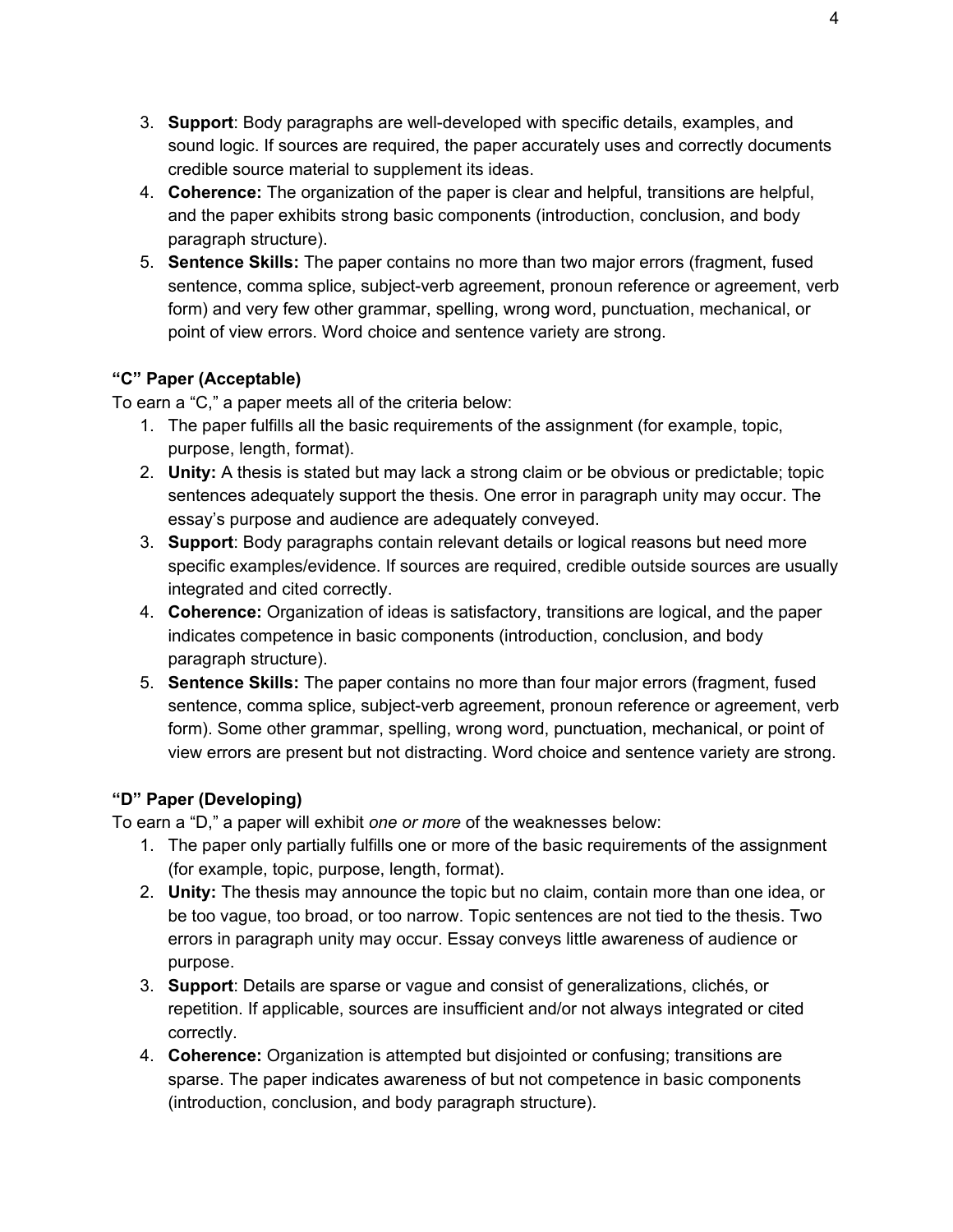- 3. **Support**: Body paragraphs are well-developed with specific details, examples, and sound logic. If sources are required, the paper accurately uses and correctly documents credible source material to supplement its ideas.
- 4. **Coherence:** The organization of the paper is clear and helpful, transitions are helpful, and the paper exhibits strong basic components (introduction, conclusion, and body paragraph structure).
- 5. **Sentence Skills:** The paper contains no more than two major errors (fragment, fused sentence, comma splice, subject-verb agreement, pronoun reference or agreement, verb form) and very few other grammar, spelling, wrong word, punctuation, mechanical, or point of view errors. Word choice and sentence variety are strong.

# **"C" Paper (Acceptable)**

To earn a "C," a paper meets all of the criteria below:

- 1. The paper fulfills all the basic requirements of the assignment (for example, topic, purpose, length, format).
- 2. **Unity:** A thesis is stated but may lack a strong claim or be obvious or predictable; topic sentences adequately support the thesis. One error in paragraph unity may occur. The essay's purpose and audience are adequately conveyed.
- 3. **Support**: Body paragraphs contain relevant details or logical reasons but need more specific examples/evidence. If sources are required, credible outside sources are usually integrated and cited correctly.
- 4. **Coherence:** Organization of ideas is satisfactory, transitions are logical, and the paper indicates competence in basic components (introduction, conclusion, and body paragraph structure).
- 5. **Sentence Skills:** The paper contains no more than four major errors (fragment, fused sentence, comma splice, subject-verb agreement, pronoun reference or agreement, verb form). Some other grammar, spelling, wrong word, punctuation, mechanical, or point of view errors are present but not distracting. Word choice and sentence variety are strong.

## **"D" Paper (Developing)**

To earn a "D," a paper will exhibit *one or more* of the weaknesses below:

- 1. The paper only partially fulfills one or more of the basic requirements of the assignment (for example, topic, purpose, length, format).
- 2. **Unity:** The thesis may announce the topic but no claim, contain more than one idea, or be too vague, too broad, or too narrow. Topic sentences are not tied to the thesis. Two errors in paragraph unity may occur. Essay conveys little awareness of audience or purpose.
- 3. **Support**: Details are sparse or vague and consist of generalizations, clichés, or repetition. If applicable, sources are insufficient and/or not always integrated or cited correctly.
- 4. **Coherence:** Organization is attempted but disjointed or confusing; transitions are sparse. The paper indicates awareness of but not competence in basic components (introduction, conclusion, and body paragraph structure).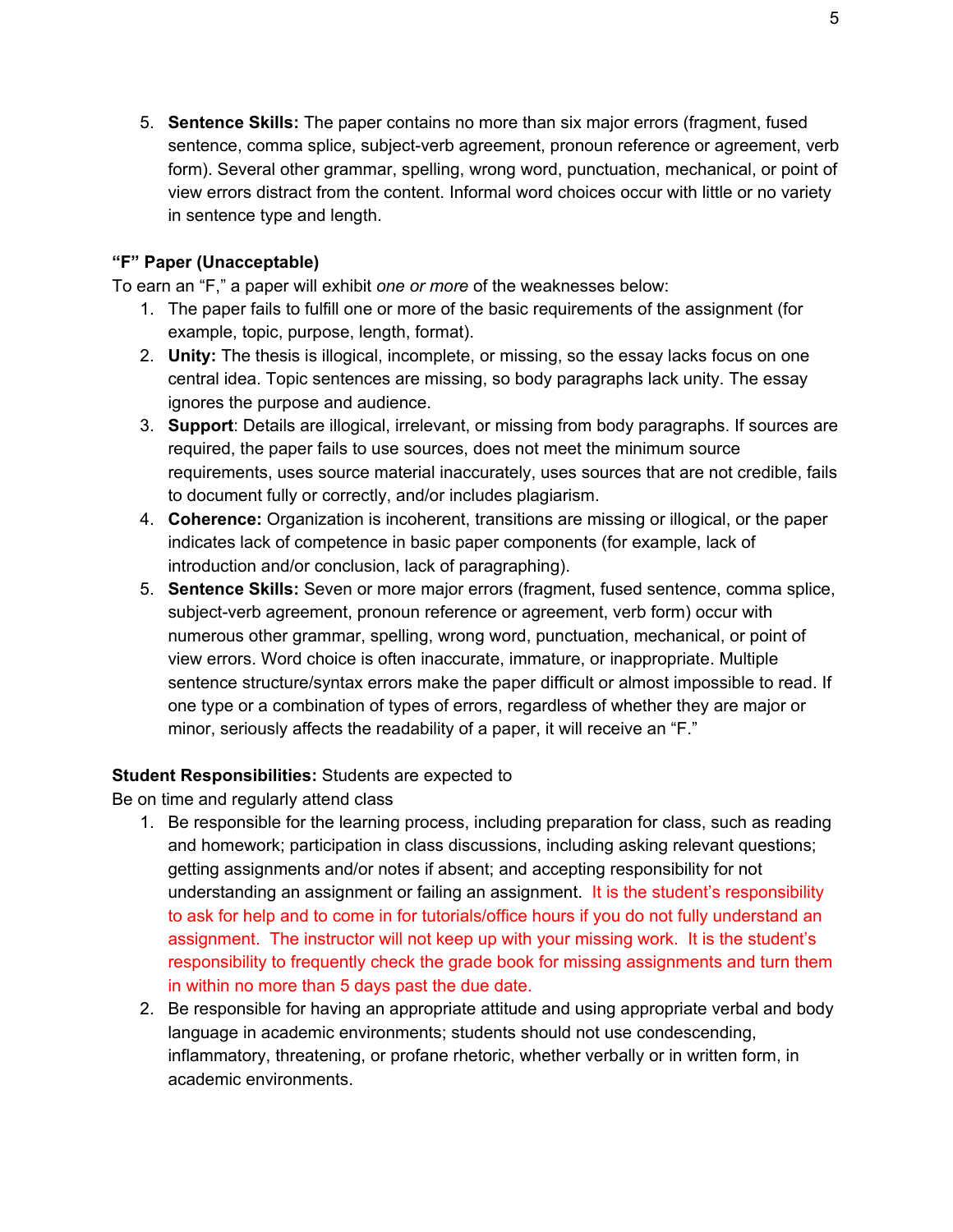5. **Sentence Skills:** The paper contains no more than six major errors (fragment, fused sentence, comma splice, subject-verb agreement, pronoun reference or agreement, verb form). Several other grammar, spelling, wrong word, punctuation, mechanical, or point of view errors distract from the content. Informal word choices occur with little or no variety in sentence type and length.

## **"F" Paper (Unacceptable)**

To earn an "F," a paper will exhibit *one or more* of the weaknesses below:

- 1. The paper fails to fulfill one or more of the basic requirements of the assignment (for example, topic, purpose, length, format).
- 2. **Unity:** The thesis is illogical, incomplete, or missing, so the essay lacks focus on one central idea. Topic sentences are missing, so body paragraphs lack unity. The essay ignores the purpose and audience.
- 3. **Support**: Details are illogical, irrelevant, or missing from body paragraphs. If sources are required, the paper fails to use sources, does not meet the minimum source requirements, uses source material inaccurately, uses sources that are not credible, fails to document fully or correctly, and/or includes plagiarism.
- 4. **Coherence:** Organization is incoherent, transitions are missing or illogical, or the paper indicates lack of competence in basic paper components (for example, lack of introduction and/or conclusion, lack of paragraphing).
- 5. **Sentence Skills:** Seven or more major errors (fragment, fused sentence, comma splice, subject-verb agreement, pronoun reference or agreement, verb form) occur with numerous other grammar, spelling, wrong word, punctuation, mechanical, or point of view errors. Word choice is often inaccurate, immature, or inappropriate. Multiple sentence structure/syntax errors make the paper difficult or almost impossible to read. If one type or a combination of types of errors, regardless of whether they are major or minor, seriously affects the readability of a paper, it will receive an "F."

# **Student Responsibilities:** Students are expected to

Be on time and regularly attend class

- 1. Be responsible for the learning process, including preparation for class, such as reading and homework; participation in class discussions, including asking relevant questions; getting assignments and/or notes if absent; and accepting responsibility for not understanding an assignment or failing an assignment. It is the student's responsibility to ask for help and to come in for tutorials/office hours if you do not fully understand an assignment. The instructor will not keep up with your missing work. It is the student's responsibility to frequently check the grade book for missing assignments and turn them in within no more than 5 days past the due date.
- 2. Be responsible for having an appropriate attitude and using appropriate verbal and body language in academic environments; students should not use condescending, inflammatory, threatening, or profane rhetoric, whether verbally or in written form, in academic environments.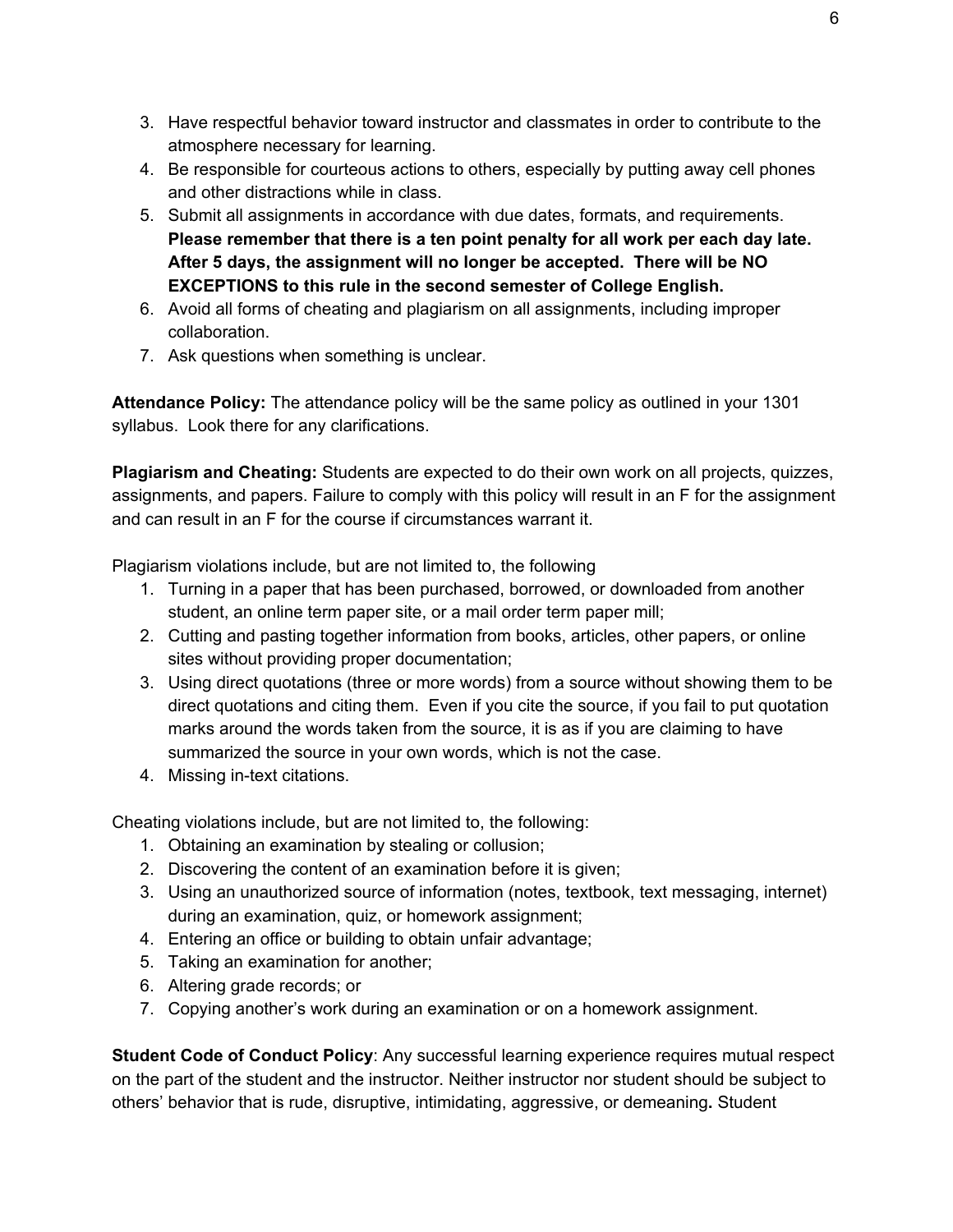- 3. Have respectful behavior toward instructor and classmates in order to contribute to the atmosphere necessary for learning.
- 4. Be responsible for courteous actions to others, especially by putting away cell phones and other distractions while in class.
- 5. Submit all assignments in accordance with due dates, formats, and requirements. **Please remember that there is a ten point penalty for all work per each day late. After 5 days, the assignment will no longer be accepted. There will be NO EXCEPTIONS to this rule in the second semester of College English.**
- 6. Avoid all forms of cheating and plagiarism on all assignments, including improper collaboration.
- 7. Ask questions when something is unclear.

**Attendance Policy:** The attendance policy will be the same policy as outlined in your 1301 syllabus. Look there for any clarifications.

**Plagiarism and Cheating:** Students are expected to do their own work on all projects, quizzes, assignments, and papers. Failure to comply with this policy will result in an F for the assignment and can result in an F for the course if circumstances warrant it.

Plagiarism violations include, but are not limited to, the following

- 1. Turning in a paper that has been purchased, borrowed, or downloaded from another student, an online term paper site, or a mail order term paper mill;
- 2. Cutting and pasting together information from books, articles, other papers, or online sites without providing proper documentation;
- 3. Using direct quotations (three or more words) from a source without showing them to be direct quotations and citing them. Even if you cite the source, if you fail to put quotation marks around the words taken from the source, it is as if you are claiming to have summarized the source in your own words, which is not the case.
- 4. Missing in-text citations.

Cheating violations include, but are not limited to, the following:

- 1. Obtaining an examination by stealing or collusion;
- 2. Discovering the content of an examination before it is given;
- 3. Using an unauthorized source of information (notes, textbook, text messaging, internet) during an examination, quiz, or homework assignment;
- 4. Entering an office or building to obtain unfair advantage;
- 5. Taking an examination for another;
- 6. Altering grade records; or
- 7. Copying another's work during an examination or on a homework assignment.

**Student Code of Conduct Policy**: Any successful learning experience requires mutual respect on the part of the student and the instructor. Neither instructor nor student should be subject to others' behavior that is rude, disruptive, intimidating, aggressive, or demeaning**.** Student